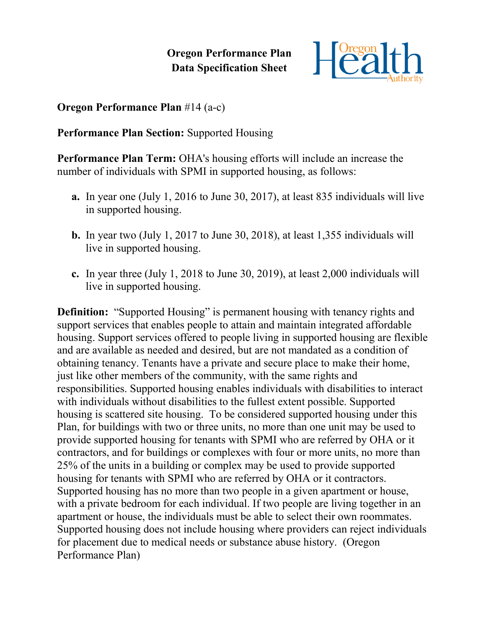**Oregon Performance Plan Data Specification Sheet**



## **Oregon Performance Plan** #14 (a-c)

## **Performance Plan Section:** Supported Housing

**Performance Plan Term:** OHA's housing efforts will include an increase the number of individuals with SPMI in supported housing, as follows:

- **a.** In year one (July 1, 2016 to June 30, 2017), at least 835 individuals will live in supported housing.
- **b.** In year two (July 1, 2017 to June 30, 2018), at least 1,355 individuals will live in supported housing.
- **c.** In year three (July 1, 2018 to June 30, 2019), at least 2,000 individuals will live in supported housing.

**Definition:** "Supported Housing" is permanent housing with tenancy rights and support services that enables people to attain and maintain integrated affordable housing. Support services offered to people living in supported housing are flexible and are available as needed and desired, but are not mandated as a condition of obtaining tenancy. Tenants have a private and secure place to make their home, just like other members of the community, with the same rights and responsibilities. Supported housing enables individuals with disabilities to interact with individuals without disabilities to the fullest extent possible. Supported housing is scattered site housing. To be considered supported housing under this Plan, for buildings with two or three units, no more than one unit may be used to provide supported housing for tenants with SPMI who are referred by OHA or it contractors, and for buildings or complexes with four or more units, no more than 25% of the units in a building or complex may be used to provide supported housing for tenants with SPMI who are referred by OHA or it contractors. Supported housing has no more than two people in a given apartment or house, with a private bedroom for each individual. If two people are living together in an apartment or house, the individuals must be able to select their own roommates. Supported housing does not include housing where providers can reject individuals for placement due to medical needs or substance abuse history. (Oregon Performance Plan)